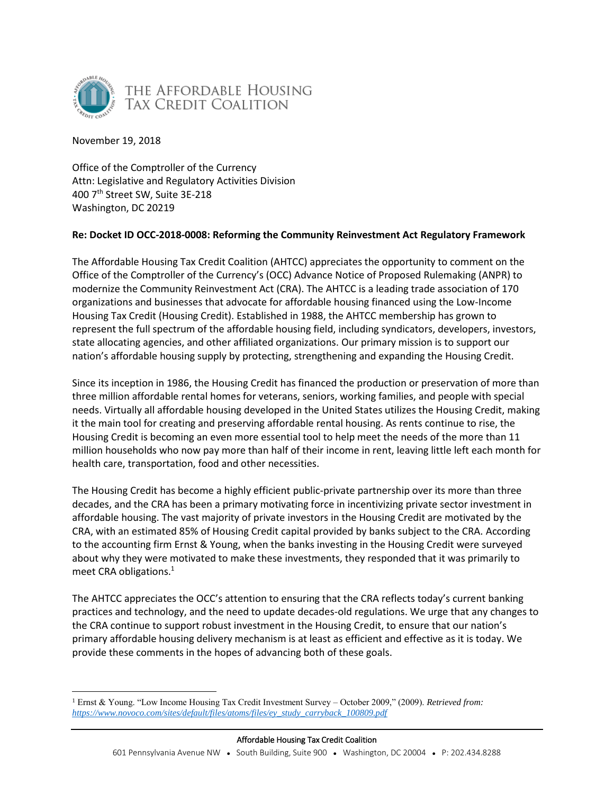

November 19, 2018

Office of the Comptroller of the Currency Attn: Legislative and Regulatory Activities Division 400 7th Street SW, Suite 3E-218 Washington, DC 20219

# **Re: Docket ID OCC-2018-0008: Reforming the Community Reinvestment Act Regulatory Framework**

The Affordable Housing Tax Credit Coalition (AHTCC) appreciates the opportunity to comment on the Office of the Comptroller of the Currency's (OCC) Advance Notice of Proposed Rulemaking (ANPR) to modernize the Community Reinvestment Act (CRA). The AHTCC is a leading trade association of 170 organizations and businesses that advocate for affordable housing financed using the Low-Income Housing Tax Credit (Housing Credit). Established in 1988, the AHTCC membership has grown to represent the full spectrum of the affordable housing field, including syndicators, developers, investors, state allocating agencies, and other affiliated organizations. Our primary mission is to support our nation's affordable housing supply by protecting, strengthening and expanding the Housing Credit.

Since its inception in 1986, the Housing Credit has financed the production or preservation of more than three million affordable rental homes for veterans, seniors, working families, and people with special needs. Virtually all affordable housing developed in the United States utilizes the Housing Credit, making it the main tool for creating and preserving affordable rental housing. As rents continue to rise, the Housing Credit is becoming an even more essential tool to help meet the needs of the more than 11 million households who now pay more than half of their income in rent, leaving little left each month for health care, transportation, food and other necessities.

The Housing Credit has become a highly efficient public-private partnership over its more than three decades, and the CRA has been a primary motivating force in incentivizing private sector investment in affordable housing. The vast majority of private investors in the Housing Credit are motivated by the CRA, with an estimated 85% of Housing Credit capital provided by banks subject to the CRA. According to the accounting firm Ernst & Young, when the banks investing in the Housing Credit were surveyed about why they were motivated to make these investments, they responded that it was primarily to meet CRA obligations.<sup>1</sup>

The AHTCC appreciates the OCC's attention to ensuring that the CRA reflects today's current banking practices and technology, and the need to update decades-old regulations. We urge that any changes to the CRA continue to support robust investment in the Housing Credit, to ensure that our nation's primary affordable housing delivery mechanism is at least as efficient and effective as it is today. We provide these comments in the hopes of advancing both of these goals.

 $\overline{a}$ <sup>1</sup> Ernst & Young. "Low Income Housing Tax Credit Investment Survey – October 2009," (2009). *Retrieved from: [https://www.novoco.com/sites/default/files/atoms/files/ey\\_study\\_carryback\\_100809.pdf](https://www.novoco.com/sites/default/files/atoms/files/ey_study_carryback_100809.pdf)*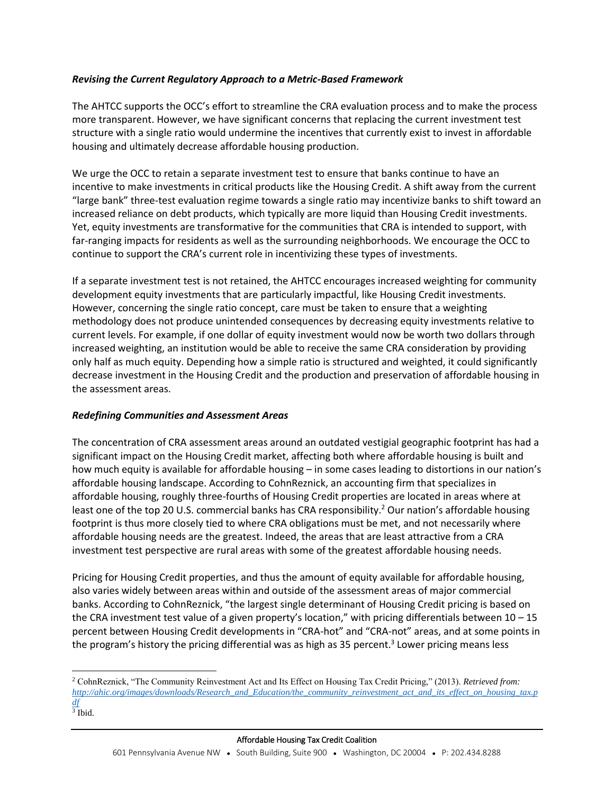# *Revising the Current Regulatory Approach to a Metric-Based Framework*

The AHTCC supports the OCC's effort to streamline the CRA evaluation process and to make the process more transparent. However, we have significant concerns that replacing the current investment test structure with a single ratio would undermine the incentives that currently exist to invest in affordable housing and ultimately decrease affordable housing production.

We urge the OCC to retain a separate investment test to ensure that banks continue to have an incentive to make investments in critical products like the Housing Credit. A shift away from the current "large bank" three-test evaluation regime towards a single ratio may incentivize banks to shift toward an increased reliance on debt products, which typically are more liquid than Housing Credit investments. Yet, equity investments are transformative for the communities that CRA is intended to support, with far-ranging impacts for residents as well as the surrounding neighborhoods. We encourage the OCC to continue to support the CRA's current role in incentivizing these types of investments.

If a separate investment test is not retained, the AHTCC encourages increased weighting for community development equity investments that are particularly impactful, like Housing Credit investments. However, concerning the single ratio concept, care must be taken to ensure that a weighting methodology does not produce unintended consequences by decreasing equity investments relative to current levels. For example, if one dollar of equity investment would now be worth two dollars through increased weighting, an institution would be able to receive the same CRA consideration by providing only half as much equity. Depending how a simple ratio is structured and weighted, it could significantly decrease investment in the Housing Credit and the production and preservation of affordable housing in the assessment areas.

# *Redefining Communities and Assessment Areas*

The concentration of CRA assessment areas around an outdated vestigial geographic footprint has had a significant impact on the Housing Credit market, affecting both where affordable housing is built and how much equity is available for affordable housing – in some cases leading to distortions in our nation's affordable housing landscape. According to CohnReznick, an accounting firm that specializes in affordable housing, roughly three-fourths of Housing Credit properties are located in areas where at least one of the top 20 U.S. commercial banks has CRA responsibility.<sup>2</sup> Our nation's affordable housing footprint is thus more closely tied to where CRA obligations must be met, and not necessarily where affordable housing needs are the greatest. Indeed, the areas that are least attractive from a CRA investment test perspective are rural areas with some of the greatest affordable housing needs.

Pricing for Housing Credit properties, and thus the amount of equity available for affordable housing, also varies widely between areas within and outside of the assessment areas of major commercial banks. According to CohnReznick, "the largest single determinant of Housing Credit pricing is based on the CRA investment test value of a given property's location," with pricing differentials between  $10 - 15$ percent between Housing Credit developments in "CRA-hot" and "CRA-not" areas, and at some points in the program's history the pricing differential was as high as 35 percent. 3 Lower pricing means less

 $\overline{a}$ 

<sup>2</sup> CohnReznick, "The Community Reinvestment Act and Its Effect on Housing Tax Credit Pricing," (2013). *Retrieved from: [http://ahic.org/images/downloads/Research\\_and\\_Education/the\\_community\\_reinvestment\\_act\\_and\\_its\\_effect\\_on\\_housing\\_tax.p](http://ahic.org/images/downloads/Research_and_Education/the_community_reinvestment_act_and_its_effect_on_housing_tax.pdf) [df](http://ahic.org/images/downloads/Research_and_Education/the_community_reinvestment_act_and_its_effect_on_housing_tax.pdf)*

<sup>3</sup> Ibid.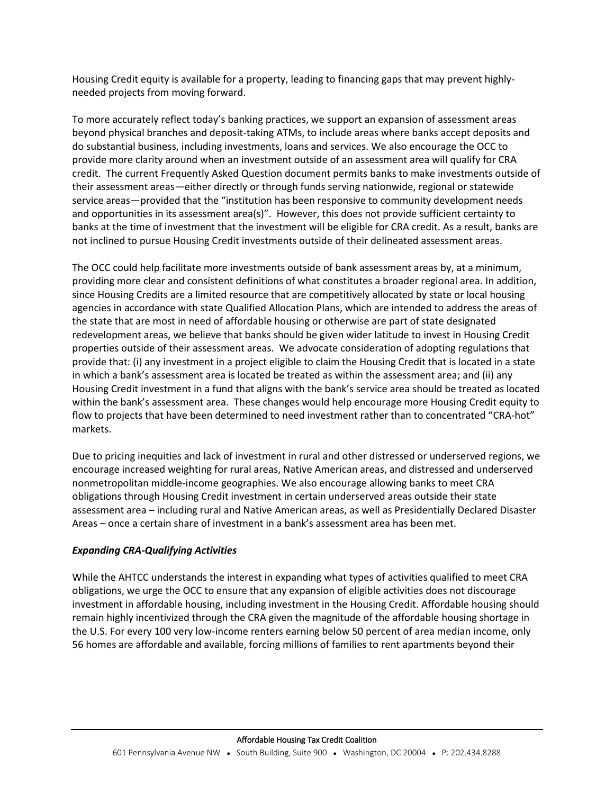Housing Credit equity is available for a property, leading to financing gaps that may prevent highlyneeded projects from moving forward.

To more accurately reflect today's banking practices, we support an expansion of assessment areas beyond physical branches and deposit-taking ATMs, to include areas where banks accept deposits and do substantial business, including investments, loans and services. We also encourage the OCC to provide more clarity around when an investment outside of an assessment area will qualify for CRA credit. The current Frequently Asked Question document permits banks to make investments outside of their assessment areas—either directly or through funds serving nationwide, regional or statewide service areas—provided that the "institution has been responsive to community development needs and opportunities in its assessment area(s)". However, this does not provide sufficient certainty to banks at the time of investment that the investment will be eligible for CRA credit. As a result, banks are not inclined to pursue Housing Credit investments outside of their delineated assessment areas.

The OCC could help facilitate more investments outside of bank assessment areas by, at a minimum, providing more clear and consistent definitions of what constitutes a broader regional area. In addition, since Housing Credits are a limited resource that are competitively allocated by state or local housing agencies in accordance with state Qualified Allocation Plans, which are intended to address the areas of the state that are most in need of affordable housing or otherwise are part of state designated redevelopment areas, we believe that banks should be given wider latitude to invest in Housing Credit properties outside of their assessment areas. We advocate consideration of adopting regulations that provide that: (i) any investment in a project eligible to claim the Housing Credit that is located in a state in which a bank's assessment area is located be treated as within the assessment area; and (ii) any Housing Credit investment in a fund that aligns with the bank's service area should be treated as located within the bank's assessment area. These changes would help encourage more Housing Credit equity to flow to projects that have been determined to need investment rather than to concentrated "CRA-hot" markets.

Due to pricing inequities and lack of investment in rural and other distressed or underserved regions, we encourage increased weighting for rural areas, Native American areas, and distressed and underserved nonmetropolitan middle-income geographies. We also encourage allowing banks to meet CRA obligations through Housing Credit investment in certain underserved areas outside their state assessment area – including rural and Native American areas, as well as Presidentially Declared Disaster Areas – once a certain share of investment in a bank's assessment area has been met.

# *Expanding CRA-Qualifying Activities*

While the AHTCC understands the interest in expanding what types of activities qualified to meet CRA obligations, we urge the OCC to ensure that any expansion of eligible activities does not discourage investment in affordable housing, including investment in the Housing Credit. Affordable housing should remain highly incentivized through the CRA given the magnitude of the affordable housing shortage in the U.S. For every 100 very low-income renters earning below 50 percent of area median income, only 56 homes are affordable and available, forcing millions of families to rent apartments beyond their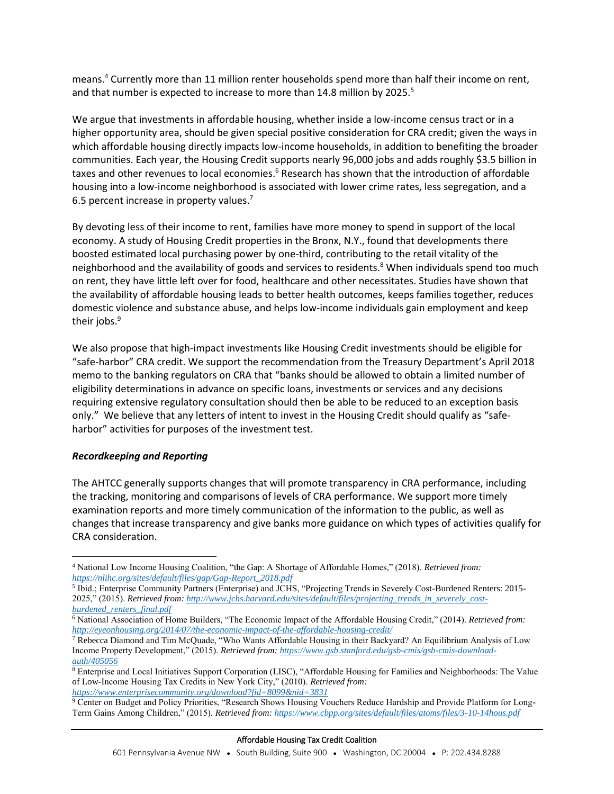means.<sup>4</sup> Currently more than 11 million renter households spend more than half their income on rent, and that number is expected to increase to more than 14.8 million by 2025.<sup>5</sup>

We argue that investments in affordable housing, whether inside a low-income census tract or in a higher opportunity area, should be given special positive consideration for CRA credit; given the ways in which affordable housing directly impacts low-income households, in addition to benefiting the broader communities. Each year, the Housing Credit supports nearly 96,000 jobs and adds roughly \$3.5 billion in taxes and other revenues to local economies.<sup>6</sup> Research has shown that the introduction of affordable housing into a low-income neighborhood is associated with lower crime rates, less segregation, and a 6.5 percent increase in property values.<sup>7</sup>

By devoting less of their income to rent, families have more money to spend in support of the local economy. A study of Housing Credit properties in the Bronx, N.Y., found that developments there boosted estimated local purchasing power by one-third, contributing to the retail vitality of the neighborhood and the availability of goods and services to residents.<sup>8</sup> When individuals spend too much on rent, they have little left over for food, healthcare and other necessitates. Studies have shown that the availability of affordable housing leads to better health outcomes, keeps families together, reduces domestic violence and substance abuse, and helps low-income individuals gain employment and keep their jobs.<sup>9</sup>

We also propose that high-impact investments like Housing Credit investments should be eligible for "safe-harbor" CRA credit. We support the recommendation from the Treasury Department's April 2018 memo to the banking regulators on CRA that "banks should be allowed to obtain a limited number of eligibility determinations in advance on specific loans, investments or services and any decisions requiring extensive regulatory consultation should then be able to be reduced to an exception basis only." We believe that any letters of intent to invest in the Housing Credit should qualify as "safeharbor" activities for purposes of the investment test.

# *Recordkeeping and Reporting*

 $\overline{a}$ 

The AHTCC generally supports changes that will promote transparency in CRA performance, including the tracking, monitoring and comparisons of levels of CRA performance. We support more timely examination reports and more timely communication of the information to the public, as well as changes that increase transparency and give banks more guidance on which types of activities qualify for CRA consideration.

<sup>4</sup> National Low Income Housing Coalition, "the Gap: A Shortage of Affordable Homes," (2018). *Retrieved from: [https://nlihc.org/sites/default/files/gap/Gap-Report\\_2018.pdf](https://nlihc.org/sites/default/files/gap/Gap-Report_2018.pdf)*

<sup>5</sup> Ibid.; Enterprise Community Partners (Enterprise) and JCHS, "Projecting Trends in Severely Cost-Burdened Renters: 2015- 2025," (2015). *Retrieved from: [http://www.jchs.harvard.edu/sites/default/files/projecting\\_trends\\_in\\_severely\\_cost](http://www.jchs.harvard.edu/sites/default/files/projecting_trends_in_severely_cost-burdened_renters_final.pdf)[burdened\\_renters\\_final.pdf](http://www.jchs.harvard.edu/sites/default/files/projecting_trends_in_severely_cost-burdened_renters_final.pdf)*

<sup>6</sup> National Association of Home Builders, "The Economic Impact of the Affordable Housing Credit," (2014). *Retrieved from: <http://eyeonhousing.org/2014/07/the-economic-impact-of-the-affordable-housing-credit/>*

<sup>7</sup> Rebecca Diamond and Tim McQuade, "Who Wants Affordable Housing in their Backyard? An Equilibrium Analysis of Low Income Property Development," (2015). *Retrieved from: [https://www.gsb.stanford.edu/gsb-cmis/gsb-cmis-download](https://www.gsb.stanford.edu/gsb-cmis/gsb-cmis-download-auth/405056)[auth/405056](https://www.gsb.stanford.edu/gsb-cmis/gsb-cmis-download-auth/405056)*

<sup>8</sup> Enterprise and Local Initiatives Support Corporation (LISC), "Affordable Housing for Families and Neighborhoods: The Value of Low-Income Housing Tax Credits in New York City," (2010). *Retrieved from: <https://www.enterprisecommunity.org/download?fid=8099&nid=3831>*

<sup>9</sup> Center on Budget and Policy Priorities, "Research Shows Housing Vouchers Reduce Hardship and Provide Platform for Long-Term Gains Among Children," (2015). *Retrieved from[: https://www.cbpp.org/sites/default/files/atoms/files/3-10-14hous.pdf](https://www.cbpp.org/sites/default/files/atoms/files/3-10-14hous.pdf)*